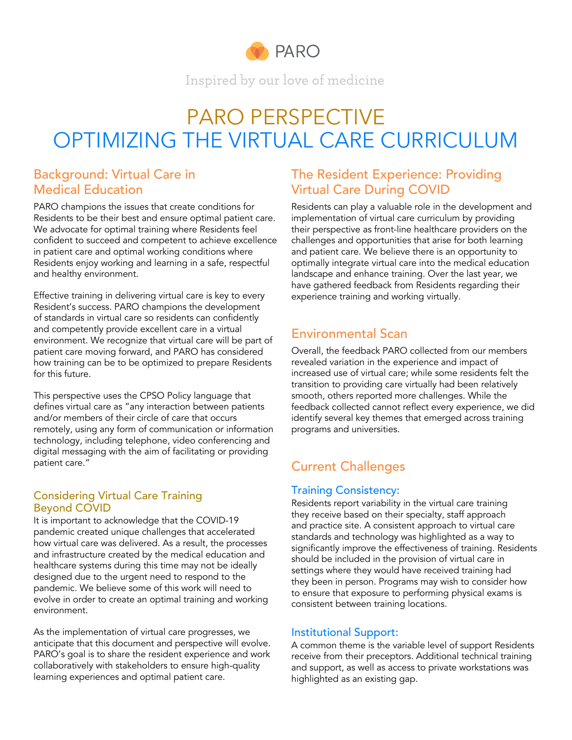

Inspired by our love of medicine

# PARO PERSPECTIVE OPTIMIZING THE VIRTUAL CARE CURRICULUM

## Background: Virtual Care in Medical Education

PARO champions the issues that create conditions for Residents to be their best and ensure optimal patient care. We advocate for optimal training where Residents feel confident to succeed and competent to achieve excellence in patient care and optimal working conditions where Residents enjoy working and learning in a safe, respectful and healthy environment.

Effective training in delivering virtual care is key to every Resident's success. PARO champions the development of standards in virtual care so residents can confidently and competently provide excellent care in a virtual environment. We recognize that virtual care will be part of patient care moving forward, and PARO has considered how training can be to be optimized to prepare Residents for this future.

This perspective uses the CPSO Policy language that defines virtual care as "any interaction between patients and/or members of their circle of care that occurs remotely, using any form of communication or information technology, including telephone, video conferencing and digital messaging with the aim of facilitating or providing patient care."

#### Considering Virtual Care Training Beyond COVID

It is important to acknowledge that the COVID-19 pandemic created unique challenges that accelerated how virtual care was delivered. As a result, the processes and infrastructure created by the medical education and healthcare systems during this time may not be ideally designed due to the urgent need to respond to the pandemic. We believe some of this work will need to evolve in order to create an optimal training and working environment.

As the implementation of virtual care progresses, we anticipate that this document and perspective will evolve. PARO's goal is to share the resident experience and work collaboratively with stakeholders to ensure high-quality learning experiences and optimal patient care.

## The Resident Experience: Providing Virtual Care During COVID

Residents can play a valuable role in the development and implementation of virtual care curriculum by providing their perspective as front-line healthcare providers on the challenges and opportunities that arise for both learning and patient care. We believe there is an opportunity to optimally integrate virtual care into the medical education landscape and enhance training. Over the last year, we have gathered feedback from Residents regarding their experience training and working virtually.

# Environmental Scan

Overall, the feedback PARO collected from our members revealed variation in the experience and impact of increased use of virtual care; while some residents felt the transition to providing care virtually had been relatively smooth, others reported more challenges. While the feedback collected cannot reflect every experience, we did identify several key themes that emerged across training programs and universities.

# Current Challenges

## Training Consistency:

Residents report variability in the virtual care training they receive based on their specialty, staff approach and practice site. A consistent approach to virtual care standards and technology was highlighted as a way to significantly improve the effectiveness of training. Residents should be included in the provision of virtual care in settings where they would have received training had they been in person. Programs may wish to consider how to ensure that exposure to performing physical exams is consistent between training locations.

## Institutional Support:

A common theme is the variable level of support Residents receive from their preceptors. Additional technical training and support, as well as access to private workstations was highlighted as an existing gap.